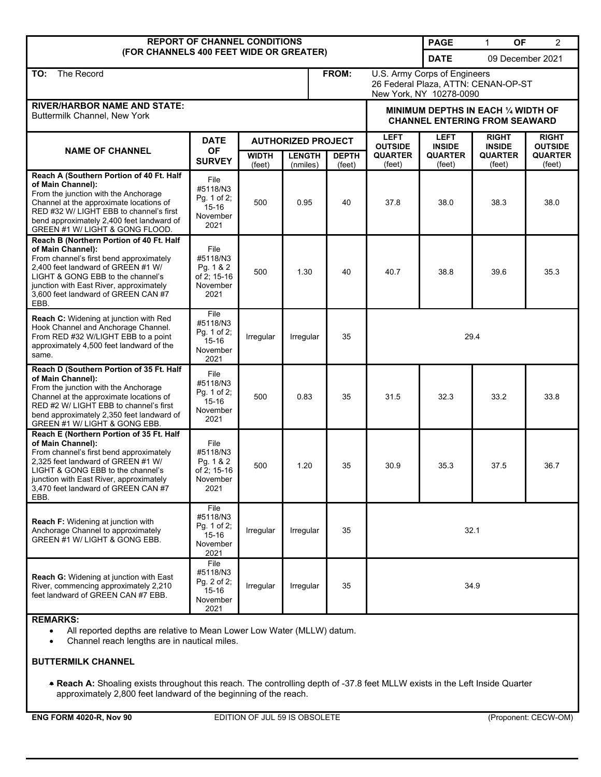| <b>REPORT OF CHANNEL CONDITIONS</b>                                                                                                                                                                                                                                           |                                                                  |                           |                           |                        |                                                                             | <b>PAGE</b>                                             | <b>OF</b><br>$\mathbf{1}$                     | $\overline{2}$           |
|-------------------------------------------------------------------------------------------------------------------------------------------------------------------------------------------------------------------------------------------------------------------------------|------------------------------------------------------------------|---------------------------|---------------------------|------------------------|-----------------------------------------------------------------------------|---------------------------------------------------------|-----------------------------------------------|--------------------------|
| (FOR CHANNELS 400 FEET WIDE OR GREATER)                                                                                                                                                                                                                                       |                                                                  |                           |                           |                        | <b>DATE</b><br>09 December 2021                                             |                                                         |                                               |                          |
| The Record<br>TO:                                                                                                                                                                                                                                                             |                                                                  |                           |                           | FROM:                  |                                                                             | U.S. Army Corps of Engineers<br>New York, NY 10278-0090 | 26 Federal Plaza, ATTN: CENAN-OP-ST           |                          |
| <b>RIVER/HARBOR NAME AND STATE:</b><br>Buttermilk Channel, New York                                                                                                                                                                                                           |                                                                  |                           |                           |                        | MINIMUM DEPTHS IN EACH 1/4 WIDTH OF<br><b>CHANNEL ENTERING FROM SEAWARD</b> |                                                         |                                               |                          |
| <b>NAME OF CHANNEL</b>                                                                                                                                                                                                                                                        | <b>DATE</b><br><b>OF</b><br><b>SURVEY</b>                        | <b>AUTHORIZED PROJECT</b> |                           |                        | <b>LEFT</b><br><b>OUTSIDE</b>                                               | <b>LEFT</b><br><b>INSIDE</b>                            | <b>RIGHT</b><br><b>RIGHT</b><br><b>INSIDE</b> | <b>OUTSIDE</b>           |
|                                                                                                                                                                                                                                                                               |                                                                  | <b>WIDTH</b><br>(feet)    | <b>LENGTH</b><br>(nmiles) | <b>DEPTH</b><br>(feet) | <b>QUARTER</b><br>(feet)                                                    | <b>QUARTER</b><br>(feet)                                | <b>QUARTER</b><br>(feet)                      | <b>QUARTER</b><br>(feet) |
| Reach A (Southern Portion of 40 Ft. Half<br>of Main Channel):<br>From the junction with the Anchorage<br>Channel at the approximate locations of<br>RED #32 W/ LIGHT EBB to channel's first<br>bend approximately 2,400 feet landward of<br>GREEN #1 W/ LIGHT & GONG FLOOD.   | File<br>#5118/N3<br>Pg. 1 of 2;<br>15-16<br>November<br>2021     | 500                       | 0.95                      | 40                     | 37.8                                                                        | 38.0                                                    | 38.3                                          | 38.0                     |
| Reach B (Northern Portion of 40 Ft. Half<br>of Main Channel):<br>From channel's first bend approximately<br>2,400 feet landward of GREEN #1 W/<br>LIGHT & GONG EBB to the channel's<br>junction with East River, approximately<br>3,600 feet landward of GREEN CAN #7<br>EBB. | File<br>#5118/N3<br>Pg. 1 & 2<br>of 2; 15-16<br>November<br>2021 | 500                       | 1.30                      | 40                     | 40.7                                                                        | 38.8                                                    | 39.6                                          | 35.3                     |
| <b>Reach C: Widening at junction with Red</b><br>Hook Channel and Anchorage Channel.<br>From RED #32 W/LIGHT EBB to a point<br>approximately 4,500 feet landward of the<br>same.                                                                                              | File<br>#5118/N3<br>Pg. 1 of 2;<br>15-16<br>November<br>2021     | Irregular                 | Irregular                 | 35                     | 29.4                                                                        |                                                         |                                               |                          |
| Reach D (Southern Portion of 35 Ft. Half<br>of Main Channel):<br>From the junction with the Anchorage<br>Channel at the approximate locations of<br>RED #2 W/ LIGHT EBB to channel's first<br>bend approximately 2,350 feet landward of<br>GREEN #1 W/ LIGHT & GONG EBB.      | File<br>#5118/N3<br>Pg. 1 of 2;<br>15-16<br>November<br>2021     | 500                       | 0.83                      | 35                     | 31.5                                                                        | 32.3                                                    | 33.2                                          | 33.8                     |
| Reach E (Northern Portion of 35 Ft. Half<br>of Main Channel):<br>From channel's first bend approximately<br>2,325 feet landward of GREEN #1 W/<br>LIGHT & GONG EBB to the channel's<br>junction with East River, approximately<br>3,470 feet landward of GREEN CAN #7<br>EBB. | File<br>#5118/N3<br>Pg. 1 & 2<br>of 2; 15-16<br>November<br>2021 | 500                       | 1.20                      | 35                     | 30.9                                                                        | 35.3                                                    | 37.5                                          | 36.7                     |
| <b>Reach F: Widening at junction with</b><br>Anchorage Channel to approximately<br>GREEN #1 W/ LIGHT & GONG EBB.                                                                                                                                                              | File<br>#5118/N3<br>Pg. 1 of 2;<br>15-16<br>November<br>2021     | Irregular                 | Irregular                 | 35                     | 32.1                                                                        |                                                         |                                               |                          |
| <b>Reach G:</b> Widening at junction with East<br>River, commencing approximately 2,210<br>feet landward of GREEN CAN #7 EBB.                                                                                                                                                 | File<br>#5118/N3<br>Pg. 2 of 2;<br>15-16<br>November<br>2021     | Irregular                 | Irregular                 | 35                     | 34.9                                                                        |                                                         |                                               |                          |
| <b>REMARKS:</b>                                                                                                                                                                                                                                                               |                                                                  |                           |                           |                        |                                                                             |                                                         |                                               |                          |

- All reported depths are relative to Mean Lower Low Water (MLLW) datum.
- Channel reach lengths are in nautical miles.

## **BUTTERMILK CHANNEL**

 **Reach A:** Shoaling exists throughout this reach. The controlling depth of -37.8 feet MLLW exists in the Left Inside Quarter approximately 2,800 feet landward of the beginning of the reach.